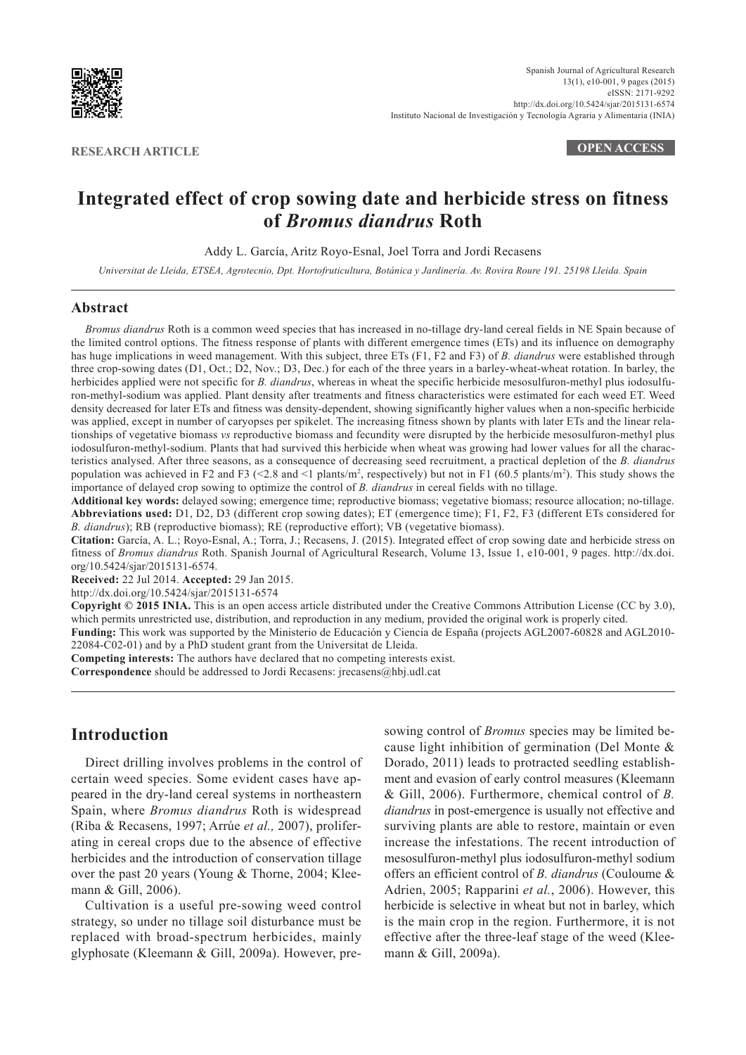

## **RESEARCH ARTICLE OPEN ACCESS**

# **Integrated effect of crop sowing date and herbicide stress on fitness of** *Bromus diandrus* **Roth**

Addy L. García, Aritz Royo-Esnal, Joel Torra and Jordi Recasens

*Universitat de Lleida, ETSEA, Agrotecnio, Dpt. Hortofruticultura, Botánica y Jardinería. Av. Rovira Roure 191. 25198 Lleida. Spain*

### **Abstract**

*Bromus diandrus* Roth is a common weed species that has increased in no-tillage dry-land cereal fields in NE Spain because of the limited control options. The fitness response of plants with different emergence times (ETs) and its influence on demography has huge implications in weed management. With this subject, three ETs (F1, F2 and F3) of *B. diandrus* were established through three crop-sowing dates (D1, Oct.; D2, Nov.; D3, Dec.) for each of the three years in a barley-wheat-wheat rotation. In barley, the herbicides applied were not specific for *B. diandrus*, whereas in wheat the specific herbicide mesosulfuron-methyl plus iodosulfuron-methyl-sodium was applied. Plant density after treatments and fitness characteristics were estimated for each weed ET. Weed density decreased for later ETs and fitness was density-dependent, showing significantly higher values when a non-specific herbicide was applied, except in number of caryopses per spikelet. The increasing fitness shown by plants with later ETs and the linear relationships of vegetative biomass *vs* reproductive biomass and fecundity were disrupted by the herbicide mesosulfuron-methyl plus iodosulfuron-methyl-sodium. Plants that had survived this herbicide when wheat was growing had lower values for all the characteristics analysed. After three seasons, as a consequence of decreasing seed recruitment, a practical depletion of the *B. diandrus* population was achieved in F2 and F3 (<2.8 and <1 plants/m<sup>2</sup>, respectively) but not in F1 (60.5 plants/m<sup>2</sup>). This study shows the importance of delayed crop sowing to optimize the control of *B. diandrus* in cereal fields with no tillage.

**Additional key words:** delayed sowing; emergence time; reproductive biomass; vegetative biomass; resource allocation; no-tillage. **Abbreviations used:** D1, D2, D3 (different crop sowing dates); ET (emergence time); F1, F2, F3 (different ETs considered for *B. diandrus*); RB (reproductive biomass); RE (reproductive effort); VB (vegetative biomass).

**Citation:** García, A. L.; Royo-Esnal, A.; Torra, J.; Recasens, J. (2015). Integrated effect of crop sowing date and herbicide stress on fitness of *Bromus diandrus* Roth. Spanish Journal of Agricultural Research, Volume 13, Issue 1, e10-001, 9 pages. [http://dx.doi.](http://dx.doi.org/10.5424/sjar/2015131-6574) [org/10.5424/sjar/2015131-6574](http://dx.doi.org/10.5424/sjar/2015131-6574).

**Received:** 22 Jul 2014. **Accepted:** 29 Jan 2015.

<http://dx.doi.org/10.5424/sjar/2015131-6574>

**Copyright © 2015 INIA.** This is an open access article distributed under the Creative Commons Attribution License (CC by 3.0), which permits unrestricted use, distribution, and reproduction in any medium, provided the original work is properly cited.

**Funding:** This work was supported by the Ministerio de Educación y Ciencia de España (projects AGL2007-60828 and AGL2010- 22084-C02-01) and by a PhD student grant from the Universitat de Lleida.

**Competing interests:** The authors have declared that no competing interests exist.

**Correspondence** should be addressed to Jordi Recasens: [jrecasens@hbj.udl.cat](mailto:jrecasens%40hbj.udl.cat?subject=)

# **Introduction**

Direct drilling involves problems in the control of certain weed species. Some evident cases have appeared in the dry-land cereal systems in northeastern Spain, where *Bromus diandrus* Roth is widespread (Riba & Recasens, 1997; Arrúe *et al.,* 2007), proliferating in cereal crops due to the absence of effective herbicides and the introduction of conservation tillage over the past 20 years (Young & Thorne, 2004; Kleemann & Gill, 2006).

Cultivation is a useful pre-sowing weed control strategy, so under no tillage soil disturbance must be replaced with broad-spectrum herbicides, mainly glyphosate (Kleemann & Gill, 2009a). However, presowing control of *Bromus* species may be limited because light inhibition of germination (Del Monte & Dorado, 2011) leads to protracted seedling establishment and evasion of early control measures (Kleemann & Gill, 2006). Furthermore, chemical control of *B. diandrus* in post-emergence is usually not effective and surviving plants are able to restore, maintain or even increase the infestations. The recent introduction of mesosulfuron-methyl plus iodosulfuron-methyl sodium offers an efficient control of *B. diandrus* (Couloume & Adrien, 2005; Rapparini *et al.*, 2006). However, this herbicide is selective in wheat but not in barley, which is the main crop in the region. Furthermore, it is not effective after the three-leaf stage of the weed (Kleemann & Gill, 2009a).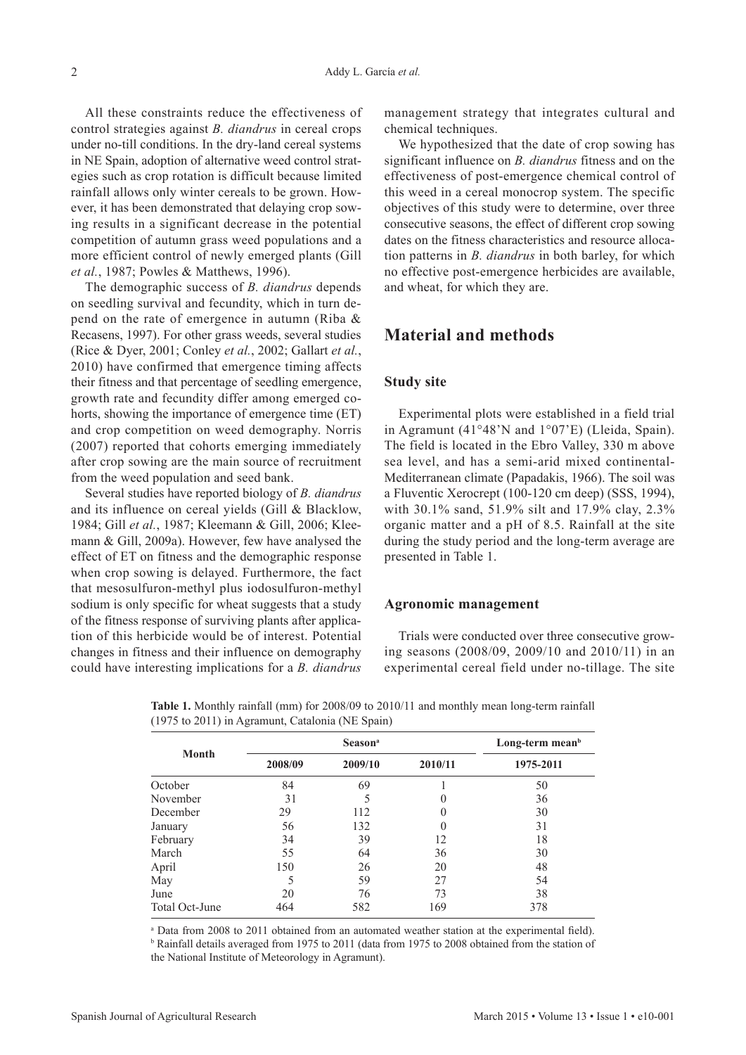All these constraints reduce the effectiveness of control strategies against *B. diandrus* in cereal crops under no-till conditions. In the dry-land cereal systems in NE Spain, adoption of alternative weed control strategies such as crop rotation is difficult because limited rainfall allows only winter cereals to be grown. However, it has been demonstrated that delaying crop sowing results in a significant decrease in the potential competition of autumn grass weed populations and a more efficient control of newly emerged plants (Gill *et al.*, 1987; Powles & Matthews, 1996).

The demographic success of *B. diandrus* depends on seedling survival and fecundity, which in turn depend on the rate of emergence in autumn (Riba & Recasens, 1997). For other grass weeds, several studies (Rice & Dyer, 2001; Conley *et al.*, 2002; Gallart *et al.*, 2010) have confirmed that emergence timing affects their fitness and that percentage of seedling emergence, growth rate and fecundity differ among emerged cohorts, showing the importance of emergence time (ET) and crop competition on weed demography. Norris (2007) reported that cohorts emerging immediately after crop sowing are the main source of recruitment from the weed population and seed bank.

Several studies have reported biology of *B. diandrus* and its influence on cereal yields (Gill & Blacklow, 1984; Gill *et al.*, 1987; Kleemann & Gill, 2006; Kleemann & Gill, 2009a). However, few have analysed the effect of ET on fitness and the demographic response when crop sowing is delayed. Furthermore, the fact that mesosulfuron-methyl plus iodosulfuron-methyl sodium is only specific for wheat suggests that a study of the fitness response of surviving plants after application of this herbicide would be of interest. Potential changes in fitness and their influence on demography could have interesting implications for a *B. diandrus*

management strategy that integrates cultural and chemical techniques.

We hypothesized that the date of crop sowing has significant influence on *B. diandrus* fitness and on the effectiveness of post-emergence chemical control of this weed in a cereal monocrop system. The specific objectives of this study were to determine, over three consecutive seasons, the effect of different crop sowing dates on the fitness characteristics and resource allocation patterns in *B. diandrus* in both barley, for which no effective post-emergence herbicides are available, and wheat, for which they are.

### **Material and methods**

### **Study site**

Experimental plots were established in a field trial in Agramunt (41°48'N and 1°07'E) (Lleida, Spain). The field is located in the Ebro Valley, 330 m above sea level, and has a semi-arid mixed continental-Mediterranean climate (Papadakis, 1966). The soil was a Fluventic Xerocrept (100-120 cm deep) (SSS, 1994), with 30.1% sand, 51.9% silt and 17.9% clay, 2.3% organic matter and a pH of 8.5. Rainfall at the site during the study period and the long-term average are presented in Table 1.

### **Agronomic management**

Trials were conducted over three consecutive growing seasons (2008/09, 2009/10 and 2010/11) in an experimental cereal field under no-tillage. The site

|                |                    | Season <sup>a</sup> |         |           |  |
|----------------|--------------------|---------------------|---------|-----------|--|
| <b>Month</b>   | 2008/09<br>2009/10 |                     | 2010/11 | 1975-2011 |  |
| October        | 84                 | 69                  |         | 50        |  |
| November       | 31                 |                     |         | 36        |  |
| December       | 29                 | 112                 |         | 30        |  |
| January        | 56                 | 132                 |         | 31        |  |
| February       | 34                 | 39                  | 12      | 18        |  |
| March          | 55                 | 64                  | 36      | 30        |  |
| April          | 150                | 26                  | 20      | 48        |  |
| May            |                    | 59                  | 27      | 54        |  |
| June           | 20                 | 76                  | 73      | 38        |  |
| Total Oct-June | 464                | 582                 | 169     | 378       |  |

**Table 1.** Monthly rainfall (mm) for 2008/09 to 2010/11 and monthly mean long-term rainfall (1975 to 2011) in Agramunt, Catalonia (NE Spain)

a Data from 2008 to 2011 obtained from an automated weather station at the experimental field). <sup>b</sup> Rainfall details averaged from 1975 to 2011 (data from 1975 to 2008 obtained from the station of the National Institute of Meteorology in Agramunt).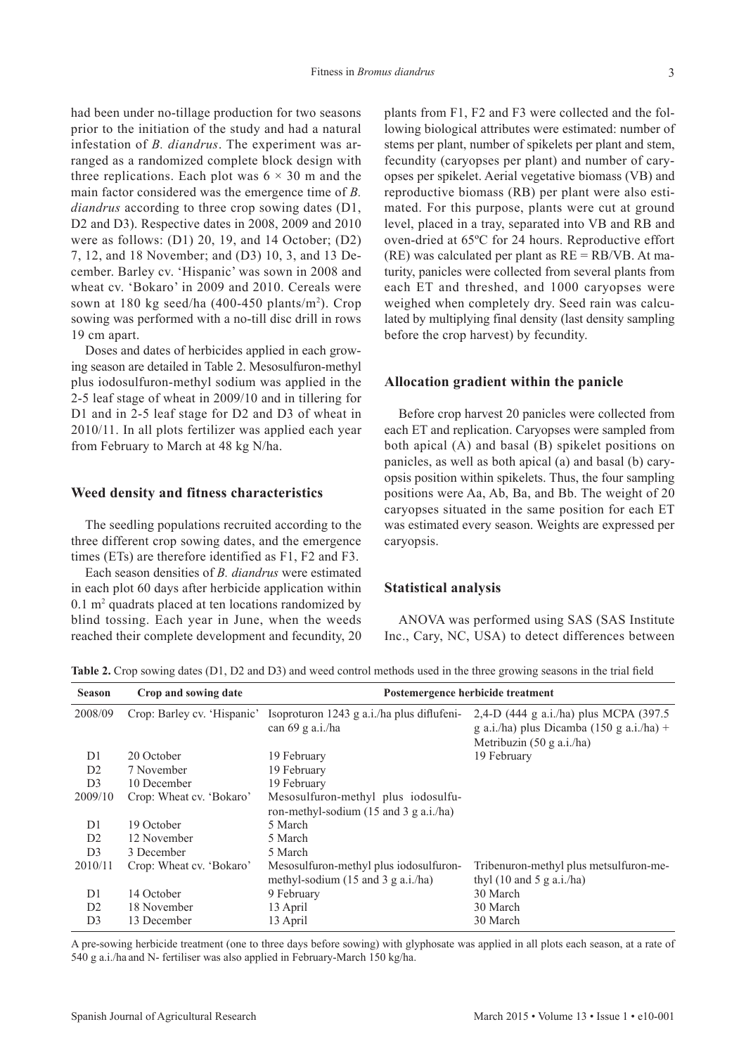had been under no-tillage production for two seasons prior to the initiation of the study and had a natural infestation of *B. diandrus*. The experiment was arranged as a randomized complete block design with three replications. Each plot was  $6 \times 30$  m and the main factor considered was the emergence time of *B. diandrus* according to three crop sowing dates (D1, D<sub>2</sub> and D<sub>3</sub>). Respective dates in 2008, 2009 and 2010 were as follows: (D1) 20, 19, and 14 October; (D2) 7, 12, and 18 November; and (D3) 10, 3, and 13 December. Barley cv. 'Hispanic' was sown in 2008 and wheat cv. 'Bokaro' in 2009 and 2010. Cereals were sown at 180 kg seed/ha  $(400-450 \text{ plants/m}^2)$ . Crop sowing was performed with a no-till disc drill in rows 19 cm apart.

Doses and dates of herbicides applied in each growing season are detailed in Table 2. Mesosulfuron-methyl plus iodosulfuron-methyl sodium was applied in the 2-5 leaf stage of wheat in 2009/10 and in tillering for D1 and in 2-5 leaf stage for D2 and D3 of wheat in 2010/11. In all plots fertilizer was applied each year from February to March at 48 kg N/ha.

### **Weed density and fitness characteristics**

The seedling populations recruited according to the three different crop sowing dates, and the emergence times (ETs) are therefore identified as F1, F2 and F3.

Each season densities of *B. diandrus* were estimated in each plot 60 days after herbicide application within 0.1 m<sup>2</sup> quadrats placed at ten locations randomized by blind tossing. Each year in June, when the weeds reached their complete development and fecundity, 20 plants from F1, F2 and F3 were collected and the following biological attributes were estimated: number of stems per plant, number of spikelets per plant and stem, fecundity (caryopses per plant) and number of caryopses per spikelet. Aerial vegetative biomass (VB) and reproductive biomass (RB) per plant were also estimated. For this purpose, plants were cut at ground level, placed in a tray, separated into VB and RB and oven-dried at 65ºC for 24 hours. Reproductive effort (RE) was calculated per plant as RE = RB/VB. At maturity, panicles were collected from several plants from each ET and threshed, and 1000 caryopses were weighed when completely dry. Seed rain was calculated by multiplying final density (last density sampling before the crop harvest) by fecundity.

### **Allocation gradient within the panicle**

Before crop harvest 20 panicles were collected from each ET and replication. Caryopses were sampled from both apical (A) and basal (B) spikelet positions on panicles, as well as both apical (a) and basal (b) caryopsis position within spikelets. Thus, the four sampling positions were Aa, Ab, Ba, and Bb. The weight of 20 caryopses situated in the same position for each ET was estimated every season. Weights are expressed per caryopsis.

### **Statistical analysis**

ANOVA was performed using SAS (SAS Institute Inc., Cary, NC, USA) to detect differences between

**Table 2.** Crop sowing dates (D1, D2 and D3) and weed control methods used in the three growing seasons in the trial field

| <b>Season</b>  | Crop and sowing date        |                                                                                                 | Postemergence herbicide treatment                                                                                           |
|----------------|-----------------------------|-------------------------------------------------------------------------------------------------|-----------------------------------------------------------------------------------------------------------------------------|
| 2008/09        | Crop: Barley cv. 'Hispanic' | Isoproturon 1243 g a.i./ha plus diffufeni-<br>can $69$ g a.i./ha                                | 2,4-D (444 g a.i./ha) plus MCPA (397.5)<br>g a.i./ha) plus Dicamba (150 g a.i./ha) +<br>Metribuzin $(50 \text{ g a.i./ha})$ |
| D <sub>1</sub> | 20 October                  | 19 February                                                                                     | 19 February                                                                                                                 |
| D2             | 7 November                  | 19 February                                                                                     |                                                                                                                             |
| D <sub>3</sub> | 10 December                 | 19 February                                                                                     |                                                                                                                             |
| 2009/10        | Crop: Wheat cv. 'Bokaro'    | Mesosulfuron-methyl plus iodosulfu-<br>ron-methyl-sodium $(15$ and $3$ g a.i./ha)               |                                                                                                                             |
| D <sub>1</sub> | 19 October                  | 5 March                                                                                         |                                                                                                                             |
| D2             | 12 November                 | 5 March                                                                                         |                                                                                                                             |
| D <sub>3</sub> | 3 December                  | 5 March                                                                                         |                                                                                                                             |
| 2010/11        | Crop: Wheat cv. 'Bokaro'    | Mesosulfuron-methyl plus iodosulfuron-<br>methyl-sodium $(15 \text{ and } 3 \text{ g a.i./ha})$ | Tribenuron-methyl plus metsulfuron-me-<br>thyl $(10 \text{ and } 5 \text{ g a.i./ha})$                                      |
| D <sub>1</sub> | 14 October                  | 9 February                                                                                      | 30 March                                                                                                                    |
| D <sub>2</sub> | 18 November                 | 13 April                                                                                        | 30 March                                                                                                                    |
| D <sub>3</sub> | 13 December                 | 13 April                                                                                        | 30 March                                                                                                                    |

A pre-sowing herbicide treatment (one to three days before sowing) with glyphosate was applied in all plots each season, at a rate of 540 g a.i./ha and N- fertiliser was also applied in February-March 150 kg/ha.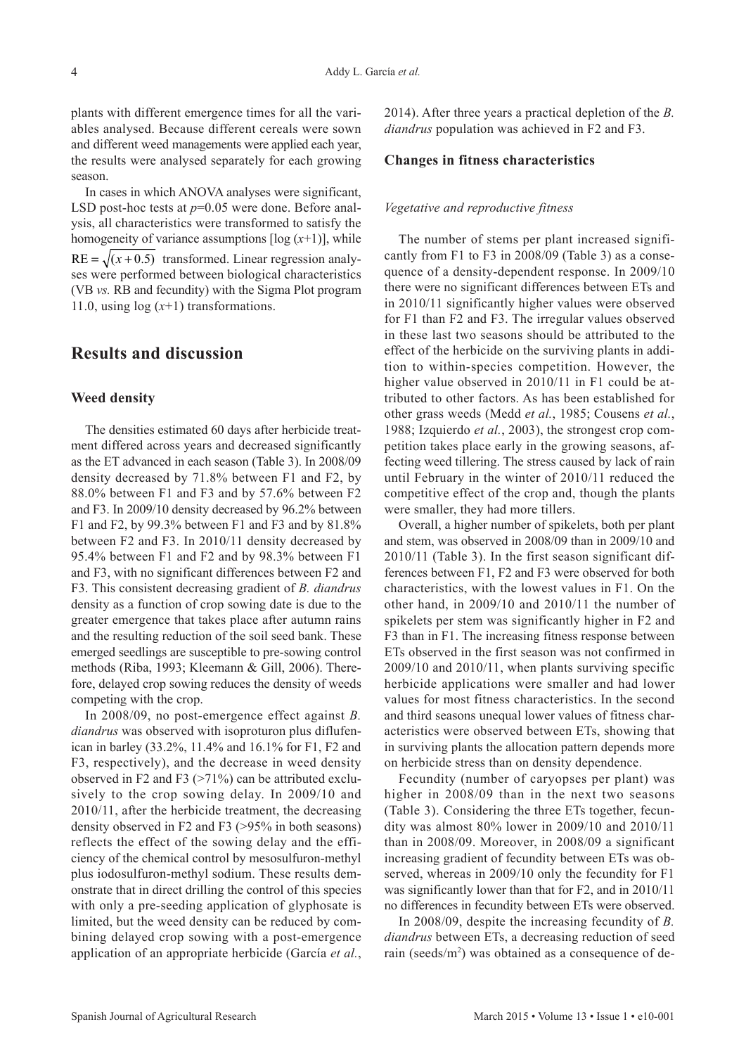plants with different emergence times for all the variables analysed. Because different cereals were sown and different weed managements were applied each year, the results were analysed separately for each growing season.

In cases in which ANOVA analyses were significant, LSD post-hoc tests at  $p=0.05$  were done. Before analysis, all characteristics were transformed to satisfy the homogeneity of variance assumptions  $[\log(x+1)]$ , while  $RE = \sqrt{(x + 0.5)}$  transformed. Linear regression analyses were performed between biological characteristics (VB *vs.* RB and fecundity) with the Sigma Plot program 11.0, using log (*x*+1) transformations.

# **Results and discussion**

### **Weed density**

The densities estimated 60 days after herbicide treatment differed across years and decreased significantly as the ET advanced in each season (Table 3). In 2008/09 density decreased by 71.8% between F1 and F2, by 88.0% between F1 and F3 and by 57.6% between F2 and F3. In 2009/10 density decreased by 96.2% between F1 and F2, by 99.3% between F1 and F3 and by 81.8% between F2 and F3. In 2010/11 density decreased by 95.4% between F1 and F2 and by 98.3% between F1 and F3, with no significant differences between F2 and F3. This consistent decreasing gradient of *B. diandrus* density as a function of crop sowing date is due to the greater emergence that takes place after autumn rains and the resulting reduction of the soil seed bank. These emerged seedlings are susceptible to pre-sowing control methods (Riba, 1993; Kleemann & Gill, 2006). Therefore, delayed crop sowing reduces the density of weeds competing with the crop.

In 2008/09, no post-emergence effect against *B. diandrus* was observed with isoproturon plus diflufenican in barley (33.2%, 11.4% and 16.1% for F1, F2 and F3, respectively), and the decrease in weed density observed in F2 and F3  $($ >71%) can be attributed exclusively to the crop sowing delay. In 2009/10 and 2010/11, after the herbicide treatment, the decreasing density observed in F2 and F3 (>95% in both seasons) reflects the effect of the sowing delay and the efficiency of the chemical control by mesosulfuron-methyl plus iodosulfuron-methyl sodium. These results demonstrate that in direct drilling the control of this species with only a pre-seeding application of glyphosate is limited, but the weed density can be reduced by combining delayed crop sowing with a post-emergence application of an appropriate herbicide (García *et al.*,

2014). After three years a practical depletion of the *B. diandrus* population was achieved in F2 and F3.

### **Changes in fitness characteristics**

### *Vegetative and reproductive fitness*

The number of stems per plant increased significantly from F1 to F3 in 2008/09 (Table 3) as a consequence of a density-dependent response. In 2009/10 there were no significant differences between ETs and in 2010/11 significantly higher values were observed for F1 than F2 and F3. The irregular values observed in these last two seasons should be attributed to the effect of the herbicide on the surviving plants in addition to within-species competition. However, the higher value observed in 2010/11 in F1 could be attributed to other factors. As has been established for other grass weeds (Medd *et al.*, 1985; Cousens *et al.*, 1988; Izquierdo *et al.*, 2003), the strongest crop competition takes place early in the growing seasons, affecting weed tillering. The stress caused by lack of rain until February in the winter of 2010/11 reduced the competitive effect of the crop and, though the plants were smaller, they had more tillers.

Overall, a higher number of spikelets, both per plant and stem, was observed in 2008/09 than in 2009/10 and 2010/11 (Table 3). In the first season significant differences between F1, F2 and F3 were observed for both characteristics, with the lowest values in F1. On the other hand, in 2009/10 and 2010/11 the number of spikelets per stem was significantly higher in F2 and F3 than in F1. The increasing fitness response between ETs observed in the first season was not confirmed in 2009/10 and 2010/11, when plants surviving specific herbicide applications were smaller and had lower values for most fitness characteristics. In the second and third seasons unequal lower values of fitness characteristics were observed between ETs, showing that in surviving plants the allocation pattern depends more on herbicide stress than on density dependence.

Fecundity (number of caryopses per plant) was higher in 2008/09 than in the next two seasons (Table 3). Considering the three ETs together, fecundity was almost 80% lower in 2009/10 and 2010/11 than in 2008/09. Moreover, in 2008/09 a significant increasing gradient of fecundity between ETs was observed, whereas in 2009/10 only the fecundity for F1 was significantly lower than that for F2, and in 2010/11 no differences in fecundity between ETs were observed.

In 2008/09, despite the increasing fecundity of *B. diandrus* between ETs, a decreasing reduction of seed rain (seeds/ $m<sup>2</sup>$ ) was obtained as a consequence of de-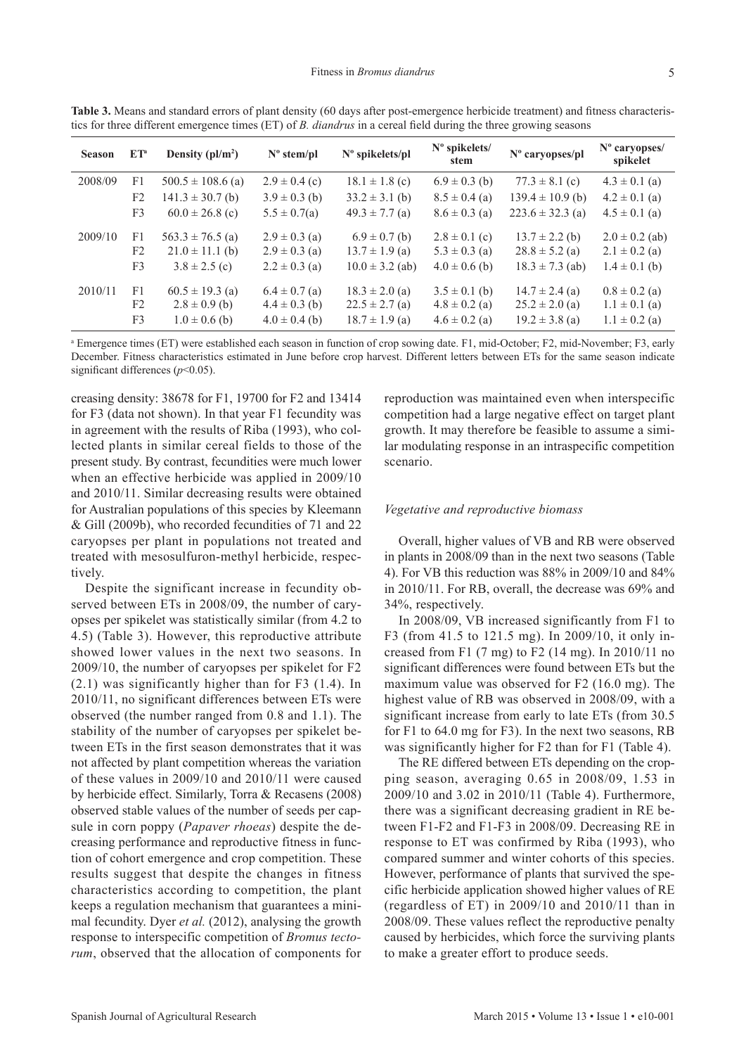| <b>Season</b> | $ET^a$                                 | Density ( $pl/m2$ )                                              | $N^{\circ}$ stem/pl                                         | N° spikelets/pl                                                | $No$ spikelets/<br>stem                                     | N° caryopses/pl                                                 | $No$ caryopses/<br>spikelet                                  |
|---------------|----------------------------------------|------------------------------------------------------------------|-------------------------------------------------------------|----------------------------------------------------------------|-------------------------------------------------------------|-----------------------------------------------------------------|--------------------------------------------------------------|
| 2008/09       | F1                                     | $500.5 \pm 108.6$ (a)                                            | $2.9 \pm 0.4$ (c)                                           | $18.1 \pm 1.8$ (c)                                             | $6.9 \pm 0.3$ (b)                                           | $77.3 \pm 8.1$ (c)                                              | $4.3 \pm 0.1$ (a)                                            |
|               | F <sub>2</sub>                         | $141.3 \pm 30.7$ (b)                                             | $3.9 \pm 0.3$ (b)                                           | $33.2 \pm 3.1$ (b)                                             | $8.5 \pm 0.4$ (a)                                           | $139.4 \pm 10.9$ (b)                                            | $4.2 \pm 0.1$ (a)                                            |
|               | F3                                     | $60.0 \pm 26.8$ (c)                                              | $5.5 \pm 0.7(a)$                                            | $49.3 \pm 7.7$ (a)                                             | $8.6 \pm 0.3$ (a)                                           | $223.6 \pm 32.3$ (a)                                            | $4.5 \pm 0.1$ (a)                                            |
| 2009/10       | F1<br>F <sub>2</sub><br>F3             | $563.3 \pm 76.5$ (a)<br>$21.0 \pm 11.1$ (b)<br>$3.8 \pm 2.5$ (c) | $2.9 \pm 0.3$ (a)<br>$2.9 \pm 0.3$ (a)<br>$2.2 \pm 0.3$ (a) | $6.9 \pm 0.7$ (b)<br>$13.7 \pm 1.9$ (a)<br>$10.0 \pm 3.2$ (ab) | $2.8 \pm 0.1$ (c)<br>$5.3 \pm 0.3$ (a)<br>$4.0 \pm 0.6$ (b) | $13.7 \pm 2.2$ (b)<br>$28.8 \pm 5.2$ (a)<br>$18.3 \pm 7.3$ (ab) | $2.0 \pm 0.2$ (ab)<br>$2.1 \pm 0.2$ (a)<br>$1.4 \pm 0.1$ (b) |
| 2010/11       | F1<br>F <sub>2</sub><br>F <sub>3</sub> | $60.5 \pm 19.3$ (a)<br>$2.8 \pm 0.9$ (b)<br>$1.0 \pm 0.6$ (b)    | $6.4 \pm 0.7$ (a)<br>$4.4 \pm 0.3$ (b)<br>$4.0 \pm 0.4$ (b) | $18.3 \pm 2.0$ (a)<br>$22.5 \pm 2.7$ (a)<br>$18.7 \pm 1.9$ (a) | $3.5 \pm 0.1$ (b)<br>$4.8 \pm 0.2$ (a)<br>$4.6 \pm 0.2$ (a) | $14.7 \pm 2.4$ (a)<br>$25.2 \pm 2.0$ (a)<br>$19.2 \pm 3.8$ (a)  | $0.8 \pm 0.2$ (a)<br>$1.1 \pm 0.1$ (a)<br>$1.1 \pm 0.2$ (a)  |

**Table 3.** Means and standard errors of plant density (60 days after post-emergence herbicide treatment) and fitness characteristics for three different emergence times (ET) of *B. diandrus* in a cereal field during the three growing seasons

<sup>a</sup> Emergence times (ET) were established each season in function of crop sowing date. F1, mid-October; F2, mid-November; F3, early December. Fitness characteristics estimated in June before crop harvest. Different letters between ETs for the same season indicate significant differences ( $p$ <0.05).

creasing density: 38678 for F1, 19700 for F2 and 13414 for F3 (data not shown). In that year F1 fecundity was in agreement with the results of Riba (1993), who collected plants in similar cereal fields to those of the present study. By contrast, fecundities were much lower when an effective herbicide was applied in 2009/10 and 2010/11. Similar decreasing results were obtained for Australian populations of this species by Kleemann & Gill (2009b), who recorded fecundities of 71 and 22 caryopses per plant in populations not treated and treated with mesosulfuron-methyl herbicide, respectively.

Despite the significant increase in fecundity observed between ETs in 2008/09, the number of caryopses per spikelet was statistically similar (from 4.2 to 4.5) (Table 3). However, this reproductive attribute showed lower values in the next two seasons. In 2009/10, the number of caryopses per spikelet for F2 (2.1) was significantly higher than for F3 (1.4). In 2010/11, no significant differences between ETs were observed (the number ranged from 0.8 and 1.1). The stability of the number of caryopses per spikelet between ETs in the first season demonstrates that it was not affected by plant competition whereas the variation of these values in 2009/10 and 2010/11 were caused by herbicide effect. Similarly, Torra & Recasens (2008) observed stable values of the number of seeds per capsule in corn poppy (*Papaver rhoeas*) despite the decreasing performance and reproductive fitness in function of cohort emergence and crop competition. These results suggest that despite the changes in fitness characteristics according to competition, the plant keeps a regulation mechanism that guarantees a minimal fecundity. Dyer *et al.* (2012), analysing the growth response to interspecific competition of *Bromus tectorum*, observed that the allocation of components for reproduction was maintained even when interspecific competition had a large negative effect on target plant growth. It may therefore be feasible to assume a similar modulating response in an intraspecific competition scenario.

#### *Vegetative and reproductive biomass*

Overall, higher values of VB and RB were observed in plants in 2008/09 than in the next two seasons (Table 4). For VB this reduction was 88% in 2009/10 and 84% in 2010/11. For RB, overall, the decrease was 69% and 34%, respectively.

In 2008/09, VB increased significantly from F1 to F3 (from 41.5 to 121.5 mg). In 2009/10, it only increased from F1  $(7 \text{ mg})$  to F2  $(14 \text{ mg})$ . In 2010/11 no significant differences were found between ETs but the maximum value was observed for F2 (16.0 mg). The highest value of RB was observed in 2008/09, with a significant increase from early to late ETs (from 30.5 for F1 to 64.0 mg for F3). In the next two seasons, RB was significantly higher for F2 than for F1 (Table 4).

The RE differed between ETs depending on the cropping season, averaging 0.65 in 2008/09, 1.53 in 2009/10 and 3.02 in 2010/11 (Table 4). Furthermore, there was a significant decreasing gradient in RE between F1-F2 and F1-F3 in 2008/09. Decreasing RE in response to ET was confirmed by Riba (1993), who compared summer and winter cohorts of this species. However, performance of plants that survived the specific herbicide application showed higher values of RE (regardless of ET) in 2009/10 and 2010/11 than in 2008/09. These values reflect the reproductive penalty caused by herbicides, which force the surviving plants to make a greater effort to produce seeds.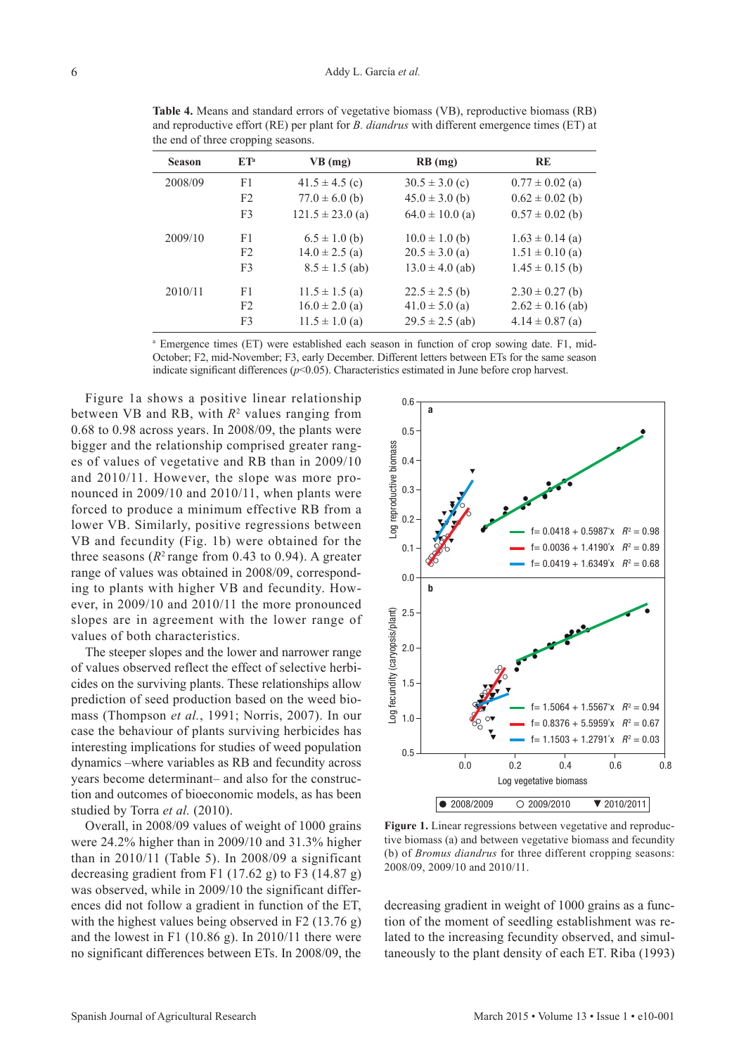| <b>Season</b> | E T <sup>a</sup> | $VB$ (mg)            | $RB$ (mg)           | RE                   |
|---------------|------------------|----------------------|---------------------|----------------------|
| 2008/09       | F1               | $41.5 \pm 4.5$ (c)   | $30.5 \pm 3.0$ (c)  | $0.77 \pm 0.02$ (a)  |
|               | F <sub>2</sub>   | $77.0 \pm 6.0$ (b)   | $45.0 \pm 3.0$ (b)  | $0.62 \pm 0.02$ (b)  |
|               | F <sub>3</sub>   | $121.5 \pm 23.0$ (a) | $64.0 \pm 10.0$ (a) | $0.57 \pm 0.02$ (b)  |
| 2009/10       | F1               | $6.5 \pm 1.0$ (b)    | $10.0 \pm 1.0$ (b)  | $1.63 \pm 0.14$ (a)  |
|               | F <sub>2</sub>   | $14.0 \pm 2.5$ (a)   | $20.5 \pm 3.0$ (a)  | $1.51 \pm 0.10$ (a)  |
|               | F <sub>3</sub>   | $8.5 \pm 1.5$ (ab)   | $13.0 \pm 4.0$ (ab) | $1.45 \pm 0.15$ (b)  |
| 2010/11       | F1               | $11.5 \pm 1.5$ (a)   | $22.5 \pm 2.5$ (b)  | $2.30 \pm 0.27$ (b)  |
|               | F <sub>2</sub>   | $16.0 \pm 2.0$ (a)   | $41.0 \pm 5.0$ (a)  | $2.62 \pm 0.16$ (ab) |
|               | F <sub>3</sub>   | $11.5 \pm 1.0$ (a)   | $29.5 \pm 2.5$ (ab) | $4.14 \pm 0.87$ (a)  |

**Table 4.** Means and standard errors of vegetative biomass (VB), reproductive biomass (RB) and reproductive effort (RE) per plant for *B. diandrus* with different emergence times (ET) at

a Emergence times (ET) were established each season in function of crop sowing date. F1, mid-October; F2, mid-November; F3, early December. Different letters between ETs for the same season indicate significant differences  $(p<0.05)$ . Characteristics estimated in June before crop harvest.

Figure 1a shows a positive linear relationship between VB and RB, with  $R<sup>2</sup>$  values ranging from 0.68 to 0.98 across years. In 2008/09, the plants were bigger and the relationship comprised greater ranges of values of vegetative and RB than in 2009/10 and 2010/11. However, the slope was more pronounced in 2009/10 and 2010/11, when plants were forced to produce a minimum effective RB from a lower VB. Similarly, positive regressions between VB and fecundity (Fig. 1b) were obtained for the three seasons ( $R^2$  range from 0.43 to 0.94). A greater range of values was obtained in 2008/09, corresponding to plants with higher VB and fecundity. However, in 2009/10 and 2010/11 the more pronounced slopes are in agreement with the lower range of values of both characteristics.

The steeper slopes and the lower and narrower range of values observed reflect the effect of selective herbicides on the surviving plants. These relationships allow prediction of seed production based on the weed biomass (Thompson *et al.*, 1991; Norris, 2007). In our case the behaviour of plants surviving herbicides has interesting implications for studies of weed population dynamics –where variables as RB and fecundity across years become determinant– and also for the construction and outcomes of bioeconomic models, as has been studied by Torra *et al.* (2010).

Overall, in 2008/09 values of weight of 1000 grains were 24.2% higher than in 2009/10 and 31.3% higher than in 2010/11 (Table 5). In 2008/09 a significant decreasing gradient from F1 (17.62 g) to F3 (14.87 g) was observed, while in 2009/10 the significant differences did not follow a gradient in function of the ET, with the highest values being observed in F2 (13.76 g) and the lowest in F1 (10.86 g). In 2010/11 there were no significant differences between ETs. In 2008/09, the



**Figure 1.** Linear regressions between vegetative and reproductive biomass (a) and between vegetative biomass and fecundity (b) of *Bromus diandrus* for three different cropping seasons: 2008/09, 2009/10 and 2010/11.

decreasing gradient in weight of 1000 grains as a function of the moment of seedling establishment was related to the increasing fecundity observed, and simultaneously to the plant density of each ET. Riba (1993)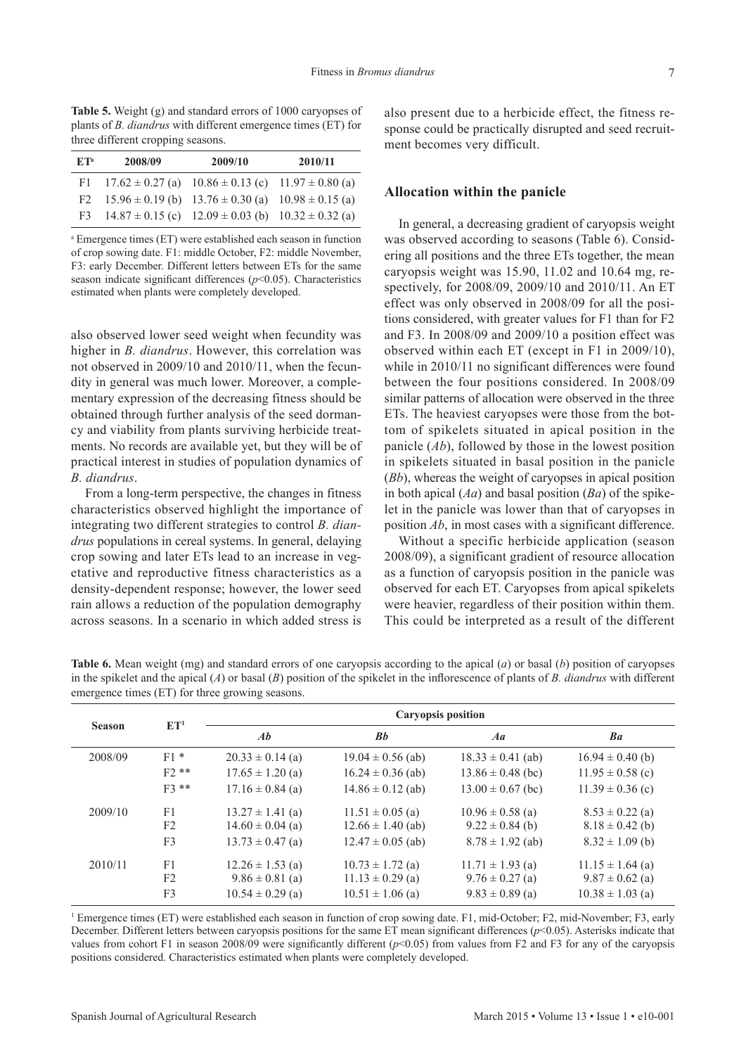**Table 5.** Weight (g) and standard errors of 1000 caryopses of plants of *B. diandrus* with different emergence times (ET) for

| E T <sup>a</sup> | 2008/09                                                           | 2009/10 | 2010/11 |
|------------------|-------------------------------------------------------------------|---------|---------|
|                  | F1 $17.62 \pm 0.27$ (a) $10.86 \pm 0.13$ (c) $11.97 \pm 0.80$ (a) |         |         |
|                  | F2 $15.96 \pm 0.19$ (b) $13.76 \pm 0.30$ (a) $10.98 \pm 0.15$ (a) |         |         |
|                  | F3 $14.87 \pm 0.15$ (c) $12.09 \pm 0.03$ (b) $10.32 \pm 0.32$ (a) |         |         |

three different cropping seasons.

a Emergence times (ET) were established each season in function of crop sowing date. F1: middle October, F2: middle November, F3: early December. Different letters between ETs for the same season indicate significant differences ( $p$ <0.05). Characteristics estimated when plants were completely developed.

also observed lower seed weight when fecundity was higher in *B. diandrus*. However, this correlation was not observed in 2009/10 and 2010/11, when the fecundity in general was much lower. Moreover, a complementary expression of the decreasing fitness should be obtained through further analysis of the seed dormancy and viability from plants surviving herbicide treatments. No records are available yet, but they will be of practical interest in studies of population dynamics of *B. diandrus*.

From a long-term perspective, the changes in fitness characteristics observed highlight the importance of integrating two different strategies to control *B. diandrus* populations in cereal systems. In general, delaying crop sowing and later ETs lead to an increase in vegetative and reproductive fitness characteristics as a density-dependent response; however, the lower seed rain allows a reduction of the population demography across seasons. In a scenario in which added stress is also present due to a herbicide effect, the fitness response could be practically disrupted and seed recruitment becomes very difficult.

### **Allocation within the panicle**

In general, a decreasing gradient of caryopsis weight was observed according to seasons (Table 6). Considering all positions and the three ETs together, the mean caryopsis weight was 15.90, 11.02 and 10.64 mg, respectively, for 2008/09, 2009/10 and 2010/11. An ET effect was only observed in 2008/09 for all the positions considered, with greater values for F1 than for F2 and F3. In 2008/09 and 2009/10 a position effect was observed within each ET (except in F1 in 2009/10), while in 2010/11 no significant differences were found between the four positions considered. In 2008/09 similar patterns of allocation were observed in the three ETs. The heaviest caryopses were those from the bottom of spikelets situated in apical position in the panicle (*Ab*), followed by those in the lowest position in spikelets situated in basal position in the panicle (*Bb*), whereas the weight of caryopses in apical position in both apical (*Aa*) and basal position (*Ba*) of the spikelet in the panicle was lower than that of caryopses in position *Ab*, in most cases with a significant difference.

Without a specific herbicide application (season 2008/09), a significant gradient of resource allocation as a function of caryopsis position in the panicle was observed for each ET. Caryopses from apical spikelets were heavier, regardless of their position within them. This could be interpreted as a result of the different

|               | ET <sup>1</sup> | <b>Caryopsis position</b> |                       |                       |                      |  |  |
|---------------|-----------------|---------------------------|-----------------------|-----------------------|----------------------|--|--|
| <b>Season</b> |                 | $\boldsymbol{Ab}$         | <b>B</b> b            | Aa                    | Ba                   |  |  |
| 2008/09       | $F1*$           | $20.33 \pm 0.14$ (a)      | $19.04 \pm 0.56$ (ab) | $18.33 \pm 0.41$ (ab) | $16.94 \pm 0.40$ (b) |  |  |
|               | $F2**$          | $17.65 \pm 1.20$ (a)      | $16.24 \pm 0.36$ (ab) | $13.86 \pm 0.48$ (bc) | $11.95 \pm 0.58$ (c) |  |  |
|               | $F3$ **         | $17.16 \pm 0.84$ (a)      | $14.86 \pm 0.12$ (ab) | $13.00 \pm 0.67$ (bc) | $11.39 \pm 0.36$ (c) |  |  |
| 2009/10       | F <sub>1</sub>  | $13.27 \pm 1.41$ (a)      | $11.51 \pm 0.05$ (a)  | $10.96 \pm 0.58$ (a)  | $8.53 \pm 0.22$ (a)  |  |  |
|               | F <sub>2</sub>  | $14.60 \pm 0.04$ (a)      | $12.66 \pm 1.40$ (ab) | $9.22 \pm 0.84$ (b)   | $8.18 \pm 0.42$ (b)  |  |  |
|               | F3              | $13.73 \pm 0.47$ (a)      | $12.47 \pm 0.05$ (ab) | $8.78 \pm 1.92$ (ab)  | $8.32 \pm 1.09$ (b)  |  |  |
| 2010/11       | F1              | $12.26 \pm 1.53$ (a)      | $10.73 \pm 1.72$ (a)  | $11.71 \pm 1.93$ (a)  | $11.15 \pm 1.64$ (a) |  |  |
|               | F <sub>2</sub>  | $9.86 \pm 0.81$ (a)       | $11.13 \pm 0.29$ (a)  | $9.76 \pm 0.27$ (a)   | $9.87 \pm 0.62$ (a)  |  |  |

**Table 6.** Mean weight (mg) and standard errors of one caryopsis according to the apical (*a*) or basal (*b*) position of caryopses in the spikelet and the apical (*A*) or basal (*B*) position of the spikelet in the inflorescence of plants of *B. diandrus* with different

<sup>1</sup> Emergence times (ET) were established each season in function of crop sowing date. F1, mid-October; F2, mid-November; F3, early December. Different letters between caryopsis positions for the same ET mean significant differences (*p*<0.05). Asterisks indicate that values from cohort F1 in season 2008/09 were significantly different ( $p$ <0.05) from values from F2 and F3 for any of the caryopsis positions considered. Characteristics estimated when plants were completely developed.

F3  $10.54 \pm 0.29$  (a)  $10.51 \pm 1.06$  (a)  $9.83 \pm 0.89$  (a)  $10.38 \pm 1.03$  (a)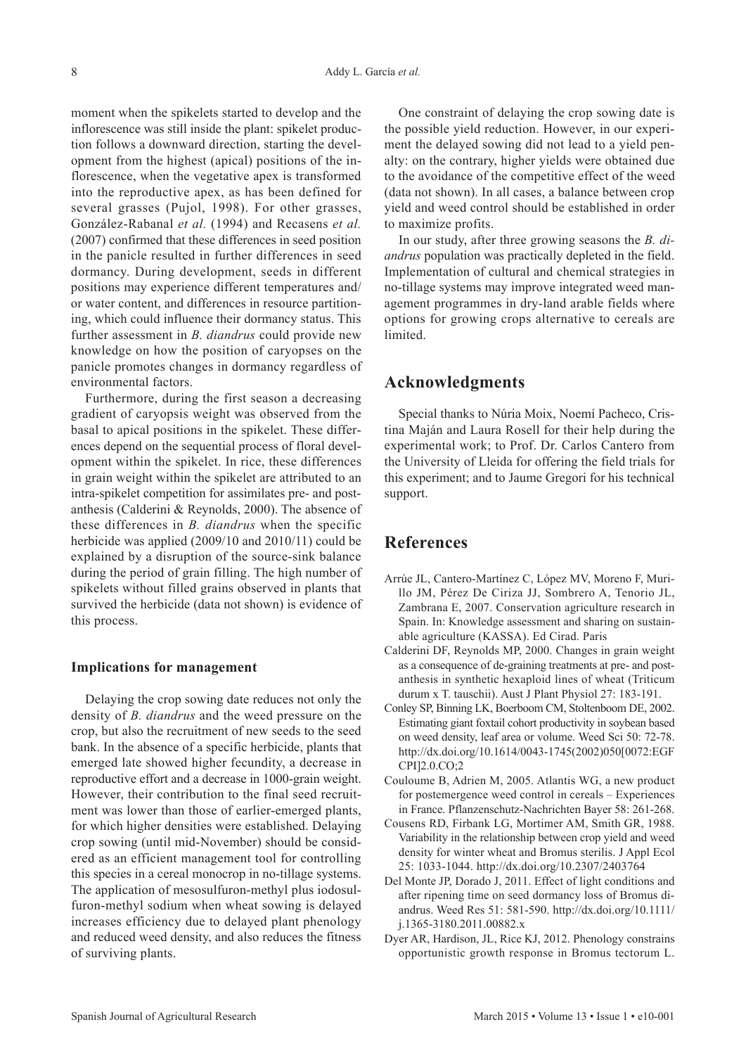moment when the spikelets started to develop and the inflorescence was still inside the plant: spikelet production follows a downward direction, starting the development from the highest (apical) positions of the inflorescence, when the vegetative apex is transformed into the reproductive apex, as has been defined for several grasses (Pujol, 1998). For other grasses, González-Rabanal *et al.* (1994) and Recasens *et al.* (2007) confirmed that these differences in seed position in the panicle resulted in further differences in seed dormancy. During development, seeds in different positions may experience different temperatures and/ or water content, and differences in resource partitioning, which could influence their dormancy status. This further assessment in *B. diandrus* could provide new knowledge on how the position of caryopses on the panicle promotes changes in dormancy regardless of environmental factors.

Furthermore, during the first season a decreasing gradient of caryopsis weight was observed from the basal to apical positions in the spikelet. These differences depend on the sequential process of floral development within the spikelet. In rice, these differences in grain weight within the spikelet are attributed to an intra-spikelet competition for assimilates pre- and postanthesis (Calderini & Reynolds, 2000). The absence of these differences in *B. diandrus* when the specific herbicide was applied (2009/10 and 2010/11) could be explained by a disruption of the source-sink balance during the period of grain filling. The high number of spikelets without filled grains observed in plants that survived the herbicide (data not shown) is evidence of this process.

### **Implications for management**

Delaying the crop sowing date reduces not only the density of *B. diandrus* and the weed pressure on the crop, but also the recruitment of new seeds to the seed bank. In the absence of a specific herbicide, plants that emerged late showed higher fecundity, a decrease in reproductive effort and a decrease in 1000-grain weight. However, their contribution to the final seed recruitment was lower than those of earlier-emerged plants, for which higher densities were established. Delaying crop sowing (until mid-November) should be considered as an efficient management tool for controlling this species in a cereal monocrop in no-tillage systems. The application of mesosulfuron-methyl plus iodosulfuron-methyl sodium when wheat sowing is delayed increases efficiency due to delayed plant phenology and reduced weed density, and also reduces the fitness of surviving plants.

One constraint of delaying the crop sowing date is the possible yield reduction. However, in our experiment the delayed sowing did not lead to a yield penalty: on the contrary, higher yields were obtained due to the avoidance of the competitive effect of the weed (data not shown). In all cases, a balance between crop yield and weed control should be established in order to maximize profits.

In our study, after three growing seasons the *B. diandrus* population was practically depleted in the field. Implementation of cultural and chemical strategies in no-tillage systems may improve integrated weed management programmes in dry-land arable fields where options for growing crops alternative to cereals are limited.

### **Acknowledgments**

Special thanks to Núria Moix, Noemí Pacheco, Cristina Maján and Laura Rosell for their help during the experimental work; to Prof. Dr. Carlos Cantero from the University of Lleida for offering the field trials for this experiment; and to Jaume Gregori for his technical support.

### **References**

- Arrúe JL, Cantero-Martínez C, López MV, Moreno F, Murillo JM, Pérez De Ciriza JJ, Sombrero A, Tenorio JL, Zambrana E, 2007. Conservation agriculture research in Spain. In: Knowledge assessment and sharing on sustainable agriculture (KASSA). Ed Cirad. Paris
- Calderini DF, Reynolds MP, 2000. Changes in grain weight as a consequence of de-graining treatments at pre- and postanthesis in synthetic hexaploid lines of wheat (Triticum durum x T. tauschii). Aust J Plant Physiol 27: 183-191.
- Conley SP, Binning LK, Boerboom CM, Stoltenboom DE, 2002. Estimating giant foxtail cohort productivity in soybean based on weed density, leaf area or volume. Weed Sci 50: 72-78. [http://dx.doi.org/10.1614/0043-1745\(2002\)050\[0072:EGF](http://dx.doi.org/10.1614/0043-1745%282002%29050%5B0072:EGFCPI%5D2.0.CO%3B2) [CPI\]2.0.CO;2](http://dx.doi.org/10.1614/0043-1745%282002%29050%5B0072:EGFCPI%5D2.0.CO%3B2)
- Couloume B, Adrien M, 2005. Atlantis WG, a new product for postemergence weed control in cereals – Experiences in France. Pflanzenschutz-Nachrichten Bayer 58: 261-268.
- Cousens RD, Firbank LG, Mortimer AM, Smith GR, 1988. Variability in the relationship between crop yield and weed density for winter wheat and Bromus sterilis. J Appl Ecol 25: 1033-1044.<http://dx.doi.org/10.2307/2403764>
- Del Monte JP, Dorado J, 2011. Effect of light conditions and after ripening time on seed dormancy loss of Bromus diandrus. Weed Res 51: 581-590. [http://dx.doi.org/10.1111/](http://dx.doi.org/10.1111/j.1365-3180.2011.00882.x) [j.1365-3180.2011.00882.x](http://dx.doi.org/10.1111/j.1365-3180.2011.00882.x)
- Dyer AR, Hardison, JL, Rice KJ, 2012. Phenology constrains opportunistic growth response in Bromus tectorum L.